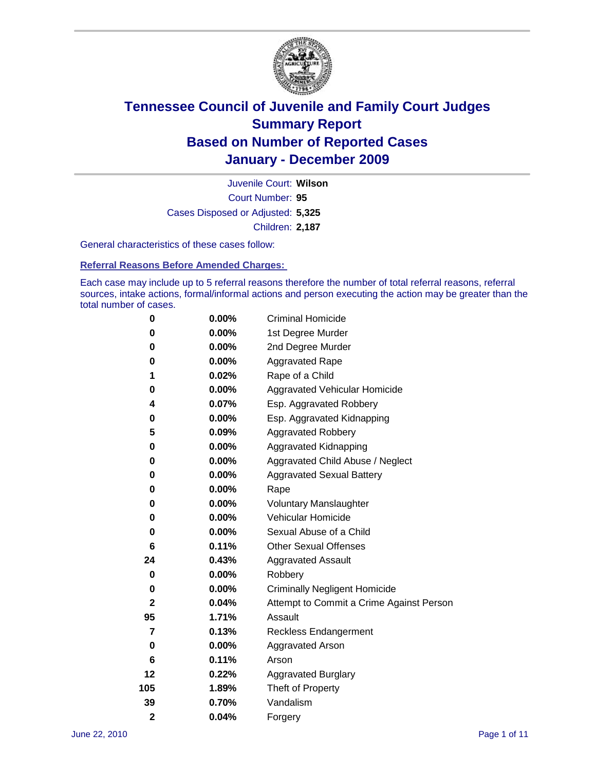

Court Number: **95** Juvenile Court: **Wilson** Cases Disposed or Adjusted: **5,325** Children: **2,187**

General characteristics of these cases follow:

**Referral Reasons Before Amended Charges:** 

Each case may include up to 5 referral reasons therefore the number of total referral reasons, referral sources, intake actions, formal/informal actions and person executing the action may be greater than the total number of cases.

| 0              | $0.00\%$ | <b>Criminal Homicide</b>                 |  |  |  |
|----------------|----------|------------------------------------------|--|--|--|
| 0              | 0.00%    | 1st Degree Murder                        |  |  |  |
| 0              | $0.00\%$ | 2nd Degree Murder                        |  |  |  |
| 0              | $0.00\%$ | <b>Aggravated Rape</b>                   |  |  |  |
| 1              | 0.02%    | Rape of a Child                          |  |  |  |
| 0              | 0.00%    | Aggravated Vehicular Homicide            |  |  |  |
| 4              | 0.07%    | Esp. Aggravated Robbery                  |  |  |  |
| 0              | $0.00\%$ | Esp. Aggravated Kidnapping               |  |  |  |
| 5              | 0.09%    | <b>Aggravated Robbery</b>                |  |  |  |
| 0              | $0.00\%$ | Aggravated Kidnapping                    |  |  |  |
| 0              | 0.00%    | Aggravated Child Abuse / Neglect         |  |  |  |
| 0              | $0.00\%$ | <b>Aggravated Sexual Battery</b>         |  |  |  |
| 0              | 0.00%    | Rape                                     |  |  |  |
| 0              | $0.00\%$ | <b>Voluntary Manslaughter</b>            |  |  |  |
| 0              | 0.00%    | Vehicular Homicide                       |  |  |  |
| 0              | $0.00\%$ | Sexual Abuse of a Child                  |  |  |  |
| 6              | 0.11%    | <b>Other Sexual Offenses</b>             |  |  |  |
| 24             | 0.43%    | <b>Aggravated Assault</b>                |  |  |  |
| 0              | $0.00\%$ | Robbery                                  |  |  |  |
| 0              | 0.00%    | <b>Criminally Negligent Homicide</b>     |  |  |  |
| $\mathbf{2}$   | 0.04%    | Attempt to Commit a Crime Against Person |  |  |  |
| 95             | 1.71%    | Assault                                  |  |  |  |
| 7              | 0.13%    | <b>Reckless Endangerment</b>             |  |  |  |
| 0              | 0.00%    | <b>Aggravated Arson</b>                  |  |  |  |
| 6              | 0.11%    | Arson                                    |  |  |  |
| 12             | 0.22%    | <b>Aggravated Burglary</b>               |  |  |  |
| 105            | 1.89%    | Theft of Property                        |  |  |  |
| 39             | 0.70%    | Vandalism                                |  |  |  |
| $\overline{2}$ | 0.04%    | Forgery                                  |  |  |  |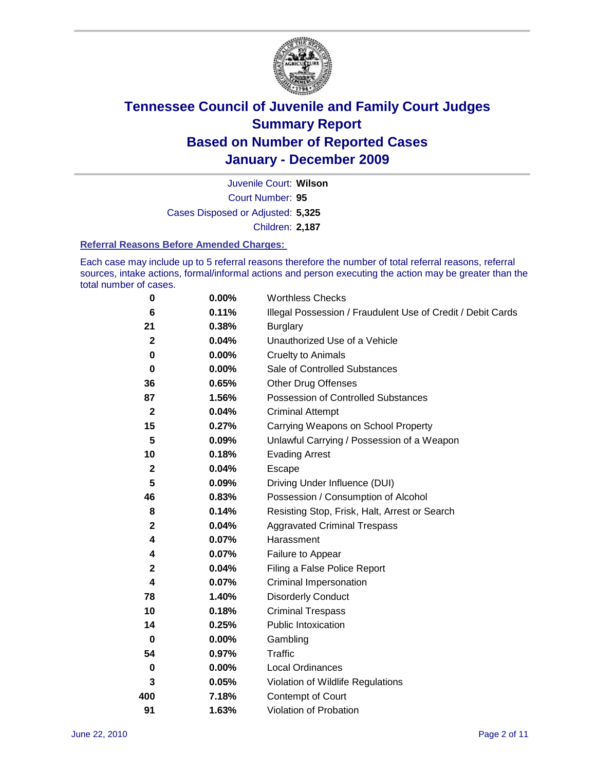

Court Number: **95** Juvenile Court: **Wilson** Cases Disposed or Adjusted: **5,325** Children: **2,187**

#### **Referral Reasons Before Amended Charges:**

Each case may include up to 5 referral reasons therefore the number of total referral reasons, referral sources, intake actions, formal/informal actions and person executing the action may be greater than the total number of cases.

| $\pmb{0}$        | 0.00%    | <b>Worthless Checks</b>                                     |
|------------------|----------|-------------------------------------------------------------|
| 6                | 0.11%    | Illegal Possession / Fraudulent Use of Credit / Debit Cards |
| 21               | 0.38%    | <b>Burglary</b>                                             |
| $\mathbf{2}$     | 0.04%    | Unauthorized Use of a Vehicle                               |
| 0                | $0.00\%$ | <b>Cruelty to Animals</b>                                   |
| $\bf{0}$         | $0.00\%$ | Sale of Controlled Substances                               |
| 36               | 0.65%    | <b>Other Drug Offenses</b>                                  |
| 87               | 1.56%    | Possession of Controlled Substances                         |
| $\mathbf{2}$     | 0.04%    | <b>Criminal Attempt</b>                                     |
| 15               | 0.27%    | Carrying Weapons on School Property                         |
| 5                | 0.09%    | Unlawful Carrying / Possession of a Weapon                  |
| 10               | 0.18%    | <b>Evading Arrest</b>                                       |
| $\boldsymbol{2}$ | 0.04%    | Escape                                                      |
| 5                | 0.09%    | Driving Under Influence (DUI)                               |
| 46               | 0.83%    | Possession / Consumption of Alcohol                         |
| 8                | 0.14%    | Resisting Stop, Frisk, Halt, Arrest or Search               |
| $\mathbf{2}$     | 0.04%    | <b>Aggravated Criminal Trespass</b>                         |
| 4                | 0.07%    | Harassment                                                  |
| 4                | 0.07%    | Failure to Appear                                           |
| $\mathbf 2$      | 0.04%    | Filing a False Police Report                                |
| 4                | 0.07%    | Criminal Impersonation                                      |
| 78               | 1.40%    | <b>Disorderly Conduct</b>                                   |
| 10               | 0.18%    | <b>Criminal Trespass</b>                                    |
| 14               | 0.25%    | <b>Public Intoxication</b>                                  |
| 0                | 0.00%    | Gambling                                                    |
| 54               | 0.97%    | <b>Traffic</b>                                              |
| 0                | $0.00\%$ | <b>Local Ordinances</b>                                     |
| 3                | 0.05%    | Violation of Wildlife Regulations                           |
| 400              | 7.18%    | Contempt of Court                                           |
| 91               | 1.63%    | Violation of Probation                                      |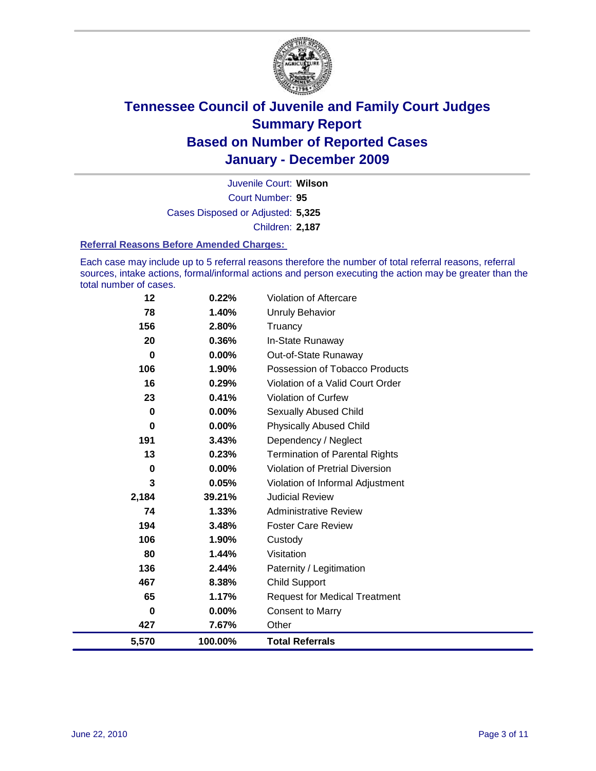

Court Number: **95** Juvenile Court: **Wilson** Cases Disposed or Adjusted: **5,325** Children: **2,187**

#### **Referral Reasons Before Amended Charges:**

Each case may include up to 5 referral reasons therefore the number of total referral reasons, referral sources, intake actions, formal/informal actions and person executing the action may be greater than the total number of cases.

| 12       | 0.22%    | Violation of Aftercare                 |
|----------|----------|----------------------------------------|
| 78       | 1.40%    | <b>Unruly Behavior</b>                 |
| 156      | 2.80%    | Truancy                                |
| 20       | 0.36%    | In-State Runaway                       |
| $\bf{0}$ | $0.00\%$ | Out-of-State Runaway                   |
| 106      | 1.90%    | Possession of Tobacco Products         |
| 16       | 0.29%    | Violation of a Valid Court Order       |
| 23       | 0.41%    | <b>Violation of Curfew</b>             |
| $\bf{0}$ | 0.00%    | Sexually Abused Child                  |
| $\bf{0}$ | 0.00%    | <b>Physically Abused Child</b>         |
| 191      | 3.43%    | Dependency / Neglect                   |
| 13       | 0.23%    | Termination of Parental Rights         |
| $\bf{0}$ | 0.00%    | <b>Violation of Pretrial Diversion</b> |
| 3        | 0.05%    | Violation of Informal Adjustment       |
| 2,184    | 39.21%   | <b>Judicial Review</b>                 |
| 74       | 1.33%    | <b>Administrative Review</b>           |
| 194      | 3.48%    | <b>Foster Care Review</b>              |
| 106      | 1.90%    | Custody                                |
| 80       | 1.44%    | Visitation                             |
| 136      | 2.44%    | Paternity / Legitimation               |
| 467      | 8.38%    | <b>Child Support</b>                   |
| 65       | 1.17%    | <b>Request for Medical Treatment</b>   |
| $\bf{0}$ | 0.00%    | <b>Consent to Marry</b>                |
| 427      | 7.67%    | Other                                  |
| 5,570    | 100.00%  | <b>Total Referrals</b>                 |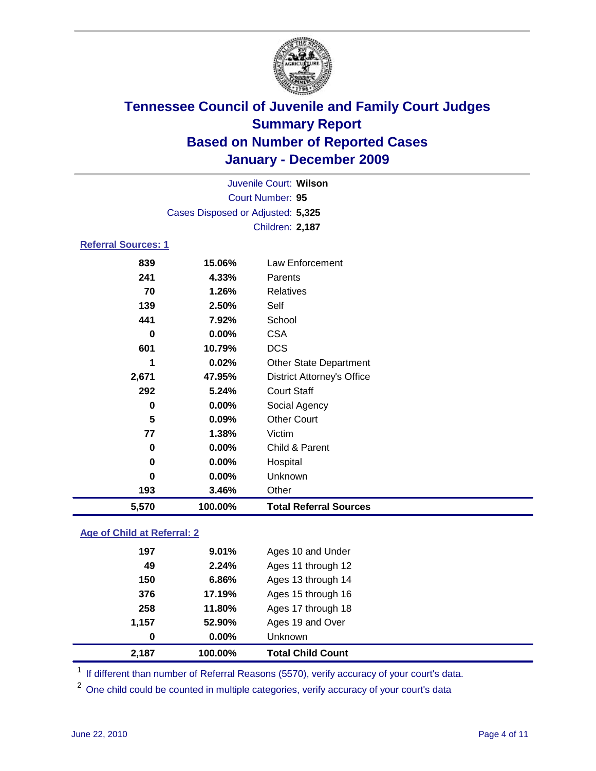

| Juvenile Court: Wilson      |                                   |                                   |  |  |  |
|-----------------------------|-----------------------------------|-----------------------------------|--|--|--|
| Court Number: 95            |                                   |                                   |  |  |  |
|                             | Cases Disposed or Adjusted: 5,325 |                                   |  |  |  |
|                             |                                   | Children: 2,187                   |  |  |  |
| <b>Referral Sources: 1</b>  |                                   |                                   |  |  |  |
| 839                         | 15.06%                            | Law Enforcement                   |  |  |  |
| 241                         | 4.33%                             | Parents                           |  |  |  |
| 70                          | 1.26%                             | Relatives                         |  |  |  |
| 139                         | 2.50%                             | Self                              |  |  |  |
| 441                         | 7.92%                             | School                            |  |  |  |
| $\bf{0}$                    | 0.00%                             | <b>CSA</b>                        |  |  |  |
| 601                         | 10.79%                            | <b>DCS</b>                        |  |  |  |
| 1                           | 0.02%                             | <b>Other State Department</b>     |  |  |  |
| 2,671                       | 47.95%                            | <b>District Attorney's Office</b> |  |  |  |
| 292                         | 5.24%                             | <b>Court Staff</b>                |  |  |  |
| 0                           | 0.00%                             | Social Agency                     |  |  |  |
| 5                           | 0.09%                             | <b>Other Court</b>                |  |  |  |
| 77                          | 1.38%                             | Victim                            |  |  |  |
| 0                           | 0.00%                             | Child & Parent                    |  |  |  |
| 0                           | 0.00%                             | Hospital                          |  |  |  |
| $\bf{0}$                    | 0.00%                             | Unknown                           |  |  |  |
| 193                         | 3.46%                             | Other                             |  |  |  |
| 5,570                       | 100.00%                           | <b>Total Referral Sources</b>     |  |  |  |
| Age of Child at Referral: 2 |                                   |                                   |  |  |  |
| 197                         | 9.01%                             | Ages 10 and Under                 |  |  |  |
|                             |                                   |                                   |  |  |  |

| 2,187 | 100.00%  | <b>Total Child Count</b> |
|-------|----------|--------------------------|
| 0     | $0.00\%$ | <b>Unknown</b>           |
| 1.157 | 52.90%   | Ages 19 and Over         |
| 258   | 11.80%   | Ages 17 through 18       |
| 376   | 17.19%   | Ages 15 through 16       |
| 150   | 6.86%    | Ages 13 through 14       |
| 49    | 2.24%    | Ages 11 through 12       |
|       |          |                          |

<sup>1</sup> If different than number of Referral Reasons (5570), verify accuracy of your court's data.

<sup>2</sup> One child could be counted in multiple categories, verify accuracy of your court's data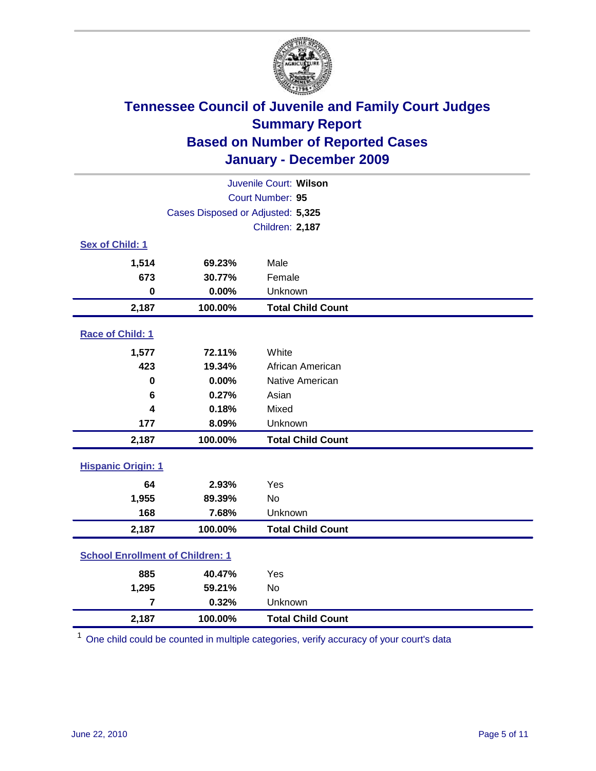

| Juvenile Court: Wilson                  |                                   |                          |  |  |  |
|-----------------------------------------|-----------------------------------|--------------------------|--|--|--|
| Court Number: 95                        |                                   |                          |  |  |  |
|                                         | Cases Disposed or Adjusted: 5,325 |                          |  |  |  |
|                                         |                                   | <b>Children: 2,187</b>   |  |  |  |
| Sex of Child: 1                         |                                   |                          |  |  |  |
| 1,514                                   | 69.23%                            | Male                     |  |  |  |
| 673                                     | 30.77%                            | Female                   |  |  |  |
| $\mathbf 0$                             | 0.00%                             | Unknown                  |  |  |  |
| 2,187                                   | 100.00%                           | <b>Total Child Count</b> |  |  |  |
| Race of Child: 1                        |                                   |                          |  |  |  |
| 1,577                                   | 72.11%                            | White                    |  |  |  |
| 423                                     | 19.34%                            | African American         |  |  |  |
| 0                                       | 0.00%                             | Native American          |  |  |  |
| 6                                       | 0.27%                             | Asian                    |  |  |  |
| 4                                       | 0.18%                             | Mixed                    |  |  |  |
| 177                                     | 8.09%                             | Unknown                  |  |  |  |
| 2,187                                   | 100.00%                           | <b>Total Child Count</b> |  |  |  |
| <b>Hispanic Origin: 1</b>               |                                   |                          |  |  |  |
| 64                                      | 2.93%                             | Yes                      |  |  |  |
| 1,955                                   | 89.39%                            | <b>No</b>                |  |  |  |
| 168                                     | 7.68%                             | Unknown                  |  |  |  |
| 2,187                                   | 100.00%                           | <b>Total Child Count</b> |  |  |  |
| <b>School Enrollment of Children: 1</b> |                                   |                          |  |  |  |
| 885                                     | 40.47%                            | Yes                      |  |  |  |
| 1,295                                   | 59.21%                            | No                       |  |  |  |
| $\overline{7}$                          | 0.32%                             | Unknown                  |  |  |  |
| 2,187                                   | 100.00%                           | <b>Total Child Count</b> |  |  |  |

<sup>1</sup> One child could be counted in multiple categories, verify accuracy of your court's data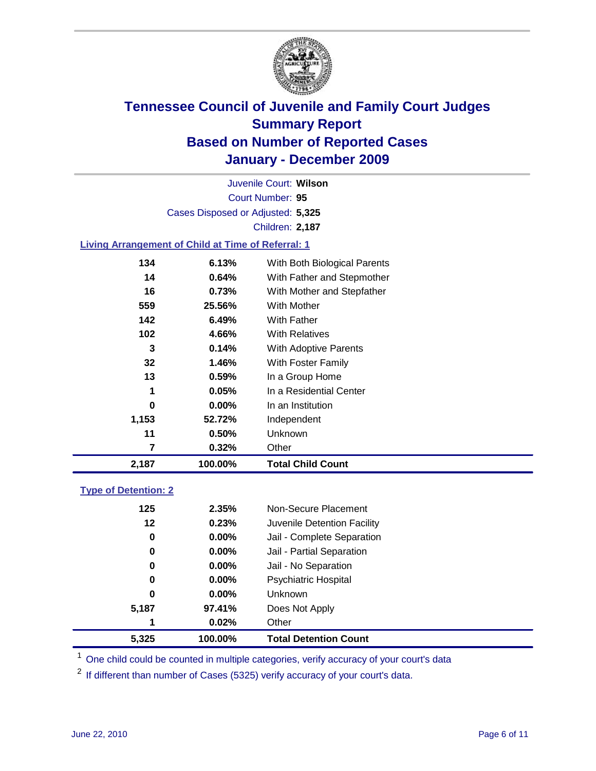

Court Number: **95** Juvenile Court: **Wilson** Cases Disposed or Adjusted: **5,325** Children: **2,187**

### **Living Arrangement of Child at Time of Referral: 1**

| 2,187 | 100.00%  | <b>Total Child Count</b>     |
|-------|----------|------------------------------|
| 7     | 0.32%    | Other                        |
| 11    | 0.50%    | Unknown                      |
| 1,153 | 52.72%   | Independent                  |
| 0     | $0.00\%$ | In an Institution            |
| 1     | 0.05%    | In a Residential Center      |
| 13    | 0.59%    | In a Group Home              |
| 32    | 1.46%    | With Foster Family           |
| 3     | 0.14%    | <b>With Adoptive Parents</b> |
| 102   | 4.66%    | <b>With Relatives</b>        |
| 142   | 6.49%    | With Father                  |
| 559   | 25.56%   | With Mother                  |
| 16    | 0.73%    | With Mother and Stepfather   |
| 14    | $0.64\%$ | With Father and Stepmother   |
| 134   | 6.13%    | With Both Biological Parents |
|       |          |                              |

### **Type of Detention: 2**

| 5.325 | 100.00%  | <b>Total Detention Count</b> |  |
|-------|----------|------------------------------|--|
| 1     | 0.02%    | Other                        |  |
| 5,187 | 97.41%   | Does Not Apply               |  |
| 0     | $0.00\%$ | <b>Unknown</b>               |  |
| 0     | 0.00%    | <b>Psychiatric Hospital</b>  |  |
| 0     | 0.00%    | Jail - No Separation         |  |
| 0     | $0.00\%$ | Jail - Partial Separation    |  |
| 0     | 0.00%    | Jail - Complete Separation   |  |
| 12    | 0.23%    | Juvenile Detention Facility  |  |
| 125   | 2.35%    | Non-Secure Placement         |  |
|       |          |                              |  |

<sup>1</sup> One child could be counted in multiple categories, verify accuracy of your court's data

<sup>2</sup> If different than number of Cases (5325) verify accuracy of your court's data.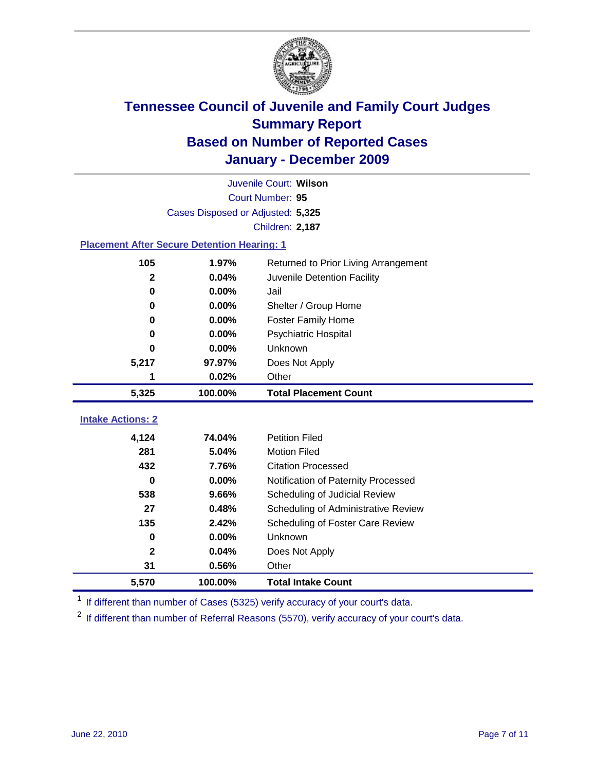

|                                                    | Juvenile Court: Wilson                        |                                     |  |  |  |
|----------------------------------------------------|-----------------------------------------------|-------------------------------------|--|--|--|
|                                                    | Court Number: 95                              |                                     |  |  |  |
|                                                    | Cases Disposed or Adjusted: 5,325             |                                     |  |  |  |
|                                                    |                                               | <b>Children: 2,187</b>              |  |  |  |
| <b>Placement After Secure Detention Hearing: 1</b> |                                               |                                     |  |  |  |
| 105                                                | 1.97%<br>Returned to Prior Living Arrangement |                                     |  |  |  |
| $\mathbf{2}$                                       | 0.04%                                         | Juvenile Detention Facility         |  |  |  |
| 0                                                  | 0.00%                                         | Jail                                |  |  |  |
| 0                                                  | 0.00%                                         | Shelter / Group Home                |  |  |  |
| 0                                                  | 0.00%                                         | <b>Foster Family Home</b>           |  |  |  |
| 0                                                  | 0.00%                                         | Psychiatric Hospital                |  |  |  |
| 0                                                  | 0.00%                                         | Unknown                             |  |  |  |
| 5,217                                              | 97.97%                                        | Does Not Apply                      |  |  |  |
| 1                                                  | 0.02%                                         | Other                               |  |  |  |
| 5,325                                              | 100.00%                                       | <b>Total Placement Count</b>        |  |  |  |
| <b>Intake Actions: 2</b>                           |                                               |                                     |  |  |  |
|                                                    |                                               |                                     |  |  |  |
| 4,124                                              | 74.04%                                        | <b>Petition Filed</b>               |  |  |  |
| 281                                                | 5.04%                                         | <b>Motion Filed</b>                 |  |  |  |
| 432                                                | 7.76%                                         | <b>Citation Processed</b>           |  |  |  |
| $\bf{0}$                                           | 0.00%                                         | Notification of Paternity Processed |  |  |  |
| 538                                                | 9.66%                                         | Scheduling of Judicial Review       |  |  |  |
| 27                                                 | 0.48%                                         | Scheduling of Administrative Review |  |  |  |
| 135                                                | 2.42%                                         | Scheduling of Foster Care Review    |  |  |  |
| 0                                                  | 0.00%                                         | Unknown                             |  |  |  |
| 2                                                  | 0.04%                                         | Does Not Apply                      |  |  |  |
| 31                                                 | 0.56%                                         | Other                               |  |  |  |
| 5,570                                              | 100.00%                                       | <b>Total Intake Count</b>           |  |  |  |

<sup>1</sup> If different than number of Cases (5325) verify accuracy of your court's data.

<sup>2</sup> If different than number of Referral Reasons (5570), verify accuracy of your court's data.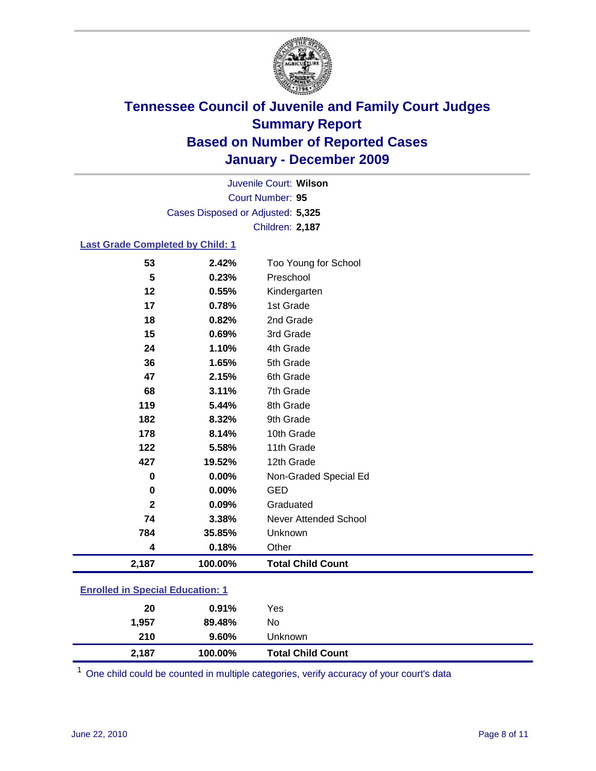

Court Number: **95** Juvenile Court: **Wilson** Cases Disposed or Adjusted: **5,325** Children: **2,187**

#### **Last Grade Completed by Child: 1**

|     |                                                                          | Graduated                                                                                                |
|-----|--------------------------------------------------------------------------|----------------------------------------------------------------------------------------------------------|
| 0   | 0.00%                                                                    | <b>GED</b>                                                                                               |
| 0   | 0.00%                                                                    | Non-Graded Special Ed                                                                                    |
| 427 | 19.52%                                                                   | 12th Grade                                                                                               |
| 122 | 5.58%                                                                    | 11th Grade                                                                                               |
| 178 | 8.14%                                                                    | 10th Grade                                                                                               |
| 182 |                                                                          | 9th Grade                                                                                                |
|     |                                                                          | 8th Grade                                                                                                |
|     |                                                                          | 7th Grade                                                                                                |
|     |                                                                          | 6th Grade                                                                                                |
|     |                                                                          | 5th Grade                                                                                                |
|     |                                                                          | 4th Grade                                                                                                |
|     |                                                                          | 2nd Grade<br>3rd Grade                                                                                   |
|     |                                                                          | 1st Grade                                                                                                |
|     |                                                                          | Kindergarten                                                                                             |
|     |                                                                          | Preschool                                                                                                |
| 53  | 2.42%                                                                    | Too Young for School                                                                                     |
|     | 5<br>12<br>17<br>18<br>15<br>24<br>36<br>47<br>68<br>119<br>$\mathbf{2}$ | 0.23%<br>0.55%<br>0.78%<br>0.82%<br>0.69%<br>1.10%<br>1.65%<br>2.15%<br>3.11%<br>5.44%<br>8.32%<br>0.09% |

| 2,187                                  | 100.00%  | <b>Total Child Count</b> |  |  |
|----------------------------------------|----------|--------------------------|--|--|
| 210                                    | $9.60\%$ | Unknown                  |  |  |
| 1.957                                  | 89.48%   | No                       |  |  |
| 20                                     | 0.91%    | Yes                      |  |  |
| <u>Eilionea in opeolaí Eugeanom. T</u> |          |                          |  |  |

One child could be counted in multiple categories, verify accuracy of your court's data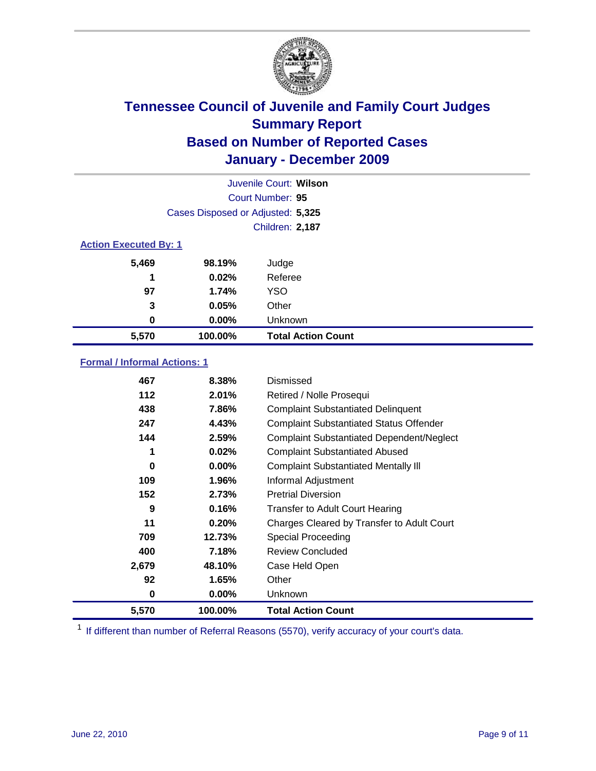

|                              | Juvenile Court: Wilson            |                           |  |  |
|------------------------------|-----------------------------------|---------------------------|--|--|
|                              | Court Number: 95                  |                           |  |  |
|                              | Cases Disposed or Adjusted: 5,325 |                           |  |  |
|                              | <b>Children: 2,187</b>            |                           |  |  |
| <b>Action Executed By: 1</b> |                                   |                           |  |  |
| 5,469                        | 98.19%                            | Judge                     |  |  |
| 1                            | 0.02%                             | Referee                   |  |  |
| 97                           | 1.74%                             | <b>YSO</b>                |  |  |
| 3                            | 0.05%                             | Other                     |  |  |
| 0                            | 0.00%                             | Unknown                   |  |  |
| 5,570                        | 100.00%                           | <b>Total Action Count</b> |  |  |

#### **Formal / Informal Actions: 1**

| 467   | 8.38%    | Dismissed                                        |
|-------|----------|--------------------------------------------------|
| 112   | 2.01%    | Retired / Nolle Prosequi                         |
| 438   | 7.86%    | <b>Complaint Substantiated Delinquent</b>        |
| 247   | 4.43%    | <b>Complaint Substantiated Status Offender</b>   |
| 144   | 2.59%    | <b>Complaint Substantiated Dependent/Neglect</b> |
| 1     | 0.02%    | <b>Complaint Substantiated Abused</b>            |
| 0     | $0.00\%$ | <b>Complaint Substantiated Mentally III</b>      |
| 109   | 1.96%    | Informal Adjustment                              |
| 152   | 2.73%    | <b>Pretrial Diversion</b>                        |
| 9     | 0.16%    | <b>Transfer to Adult Court Hearing</b>           |
| 11    | 0.20%    | Charges Cleared by Transfer to Adult Court       |
| 709   | 12.73%   | <b>Special Proceeding</b>                        |
| 400   | 7.18%    | <b>Review Concluded</b>                          |
| 2,679 | 48.10%   | Case Held Open                                   |
| 92    | 1.65%    | Other                                            |
| 0     | $0.00\%$ | <b>Unknown</b>                                   |
| 5,570 | 100.00%  | <b>Total Action Count</b>                        |

<sup>1</sup> If different than number of Referral Reasons (5570), verify accuracy of your court's data.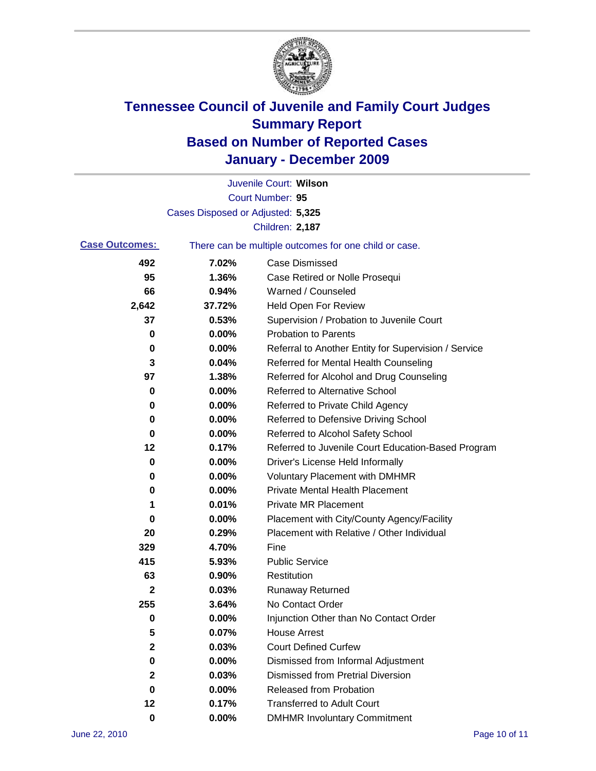

|                       |                                   | Juvenile Court: Wilson                                |
|-----------------------|-----------------------------------|-------------------------------------------------------|
|                       |                                   | <b>Court Number: 95</b>                               |
|                       | Cases Disposed or Adjusted: 5,325 |                                                       |
|                       |                                   | Children: 2,187                                       |
| <b>Case Outcomes:</b> |                                   | There can be multiple outcomes for one child or case. |
| 492                   | 7.02%                             | <b>Case Dismissed</b>                                 |
| 95                    | 1.36%                             | Case Retired or Nolle Prosequi                        |
| 66                    | 0.94%                             | Warned / Counseled                                    |
| 2,642                 | 37.72%                            | <b>Held Open For Review</b>                           |
| 37                    | 0.53%                             | Supervision / Probation to Juvenile Court             |
| 0                     | 0.00%                             | <b>Probation to Parents</b>                           |
| 0                     | 0.00%                             | Referral to Another Entity for Supervision / Service  |
| 3                     | 0.04%                             | Referred for Mental Health Counseling                 |
| 97                    | 1.38%                             | Referred for Alcohol and Drug Counseling              |
| 0                     | 0.00%                             | <b>Referred to Alternative School</b>                 |
| 0                     | 0.00%                             | Referred to Private Child Agency                      |
| 0                     | 0.00%                             | Referred to Defensive Driving School                  |
| 0                     | 0.00%                             | Referred to Alcohol Safety School                     |
| 12                    | 0.17%                             | Referred to Juvenile Court Education-Based Program    |
| 0                     | 0.00%                             | Driver's License Held Informally                      |
| 0                     | 0.00%                             | <b>Voluntary Placement with DMHMR</b>                 |
| 0                     | 0.00%                             | <b>Private Mental Health Placement</b>                |
| 1                     | 0.01%                             | <b>Private MR Placement</b>                           |
| 0                     | 0.00%                             | Placement with City/County Agency/Facility            |
| 20                    | 0.29%                             | Placement with Relative / Other Individual            |
| 329                   | 4.70%                             | Fine                                                  |
| 415                   | 5.93%                             | <b>Public Service</b>                                 |
| 63                    | 0.90%                             | Restitution                                           |
| $\mathbf{2}$          | 0.03%                             | <b>Runaway Returned</b>                               |
| 255                   | 3.64%                             | No Contact Order                                      |
| 0                     | 0.00%                             | Injunction Other than No Contact Order                |
| 5                     | 0.07%                             | <b>House Arrest</b>                                   |
| 2                     | 0.03%                             | <b>Court Defined Curfew</b>                           |
| 0                     | 0.00%                             | Dismissed from Informal Adjustment                    |
| 2                     | 0.03%                             | <b>Dismissed from Pretrial Diversion</b>              |
| 0                     | 0.00%                             | Released from Probation                               |
| 12                    | 0.17%                             | <b>Transferred to Adult Court</b>                     |
| $\bf{0}$              | $0.00\%$                          | <b>DMHMR Involuntary Commitment</b>                   |